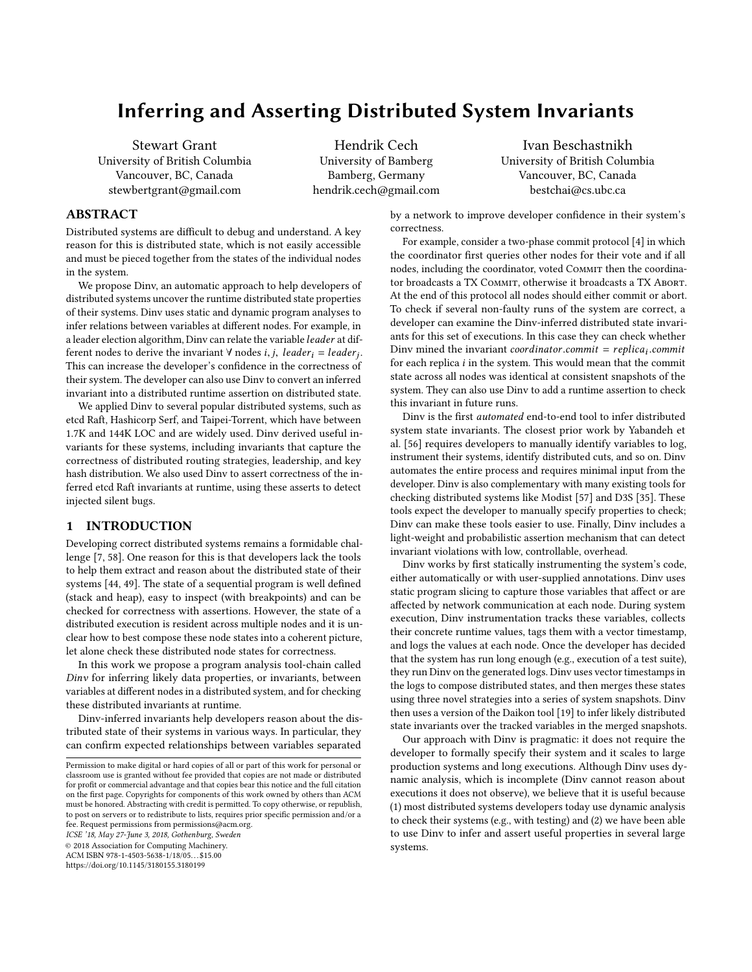# Inferring and Asserting Distributed System Invariants

Stewart Grant University of British Columbia Vancouver, BC, Canada stewbertgrant@gmail.com

Hendrik Cech University of Bamberg Bamberg, Germany hendrik.cech@gmail.com

Ivan Beschastnikh University of British Columbia Vancouver, BC, Canada bestchai@cs.ubc.ca

### ABSTRACT

Distributed systems are difficult to debug and understand. A key reason for this is distributed state, which is not easily accessible and must be pieced together from the states of the individual nodes in the system.

We propose Dinv, an automatic approach to help developers of distributed systems uncover the runtime distributed state properties of their systems. Dinv uses static and dynamic program analyses to infer relations between variables at different nodes. For example, in a leader election algorithm, Dinv can relate the variable leader at different nodes to derive the invariant  $\forall$  nodes *i*, *j*, *leader<sub>i</sub>* = *leader<sub>j</sub>*.<br>This can increase the developer's confidence in the correctness of This can increase the developer's confidence in the correctness of their system. The developer can also use Dinv to convert an inferred invariant into a distributed runtime assertion on distributed state.

We applied Dinv to several popular distributed systems, such as etcd Raft, Hashicorp Serf, and Taipei-Torrent, which have between 1.7K and 144K LOC and are widely used. Dinv derived useful invariants for these systems, including invariants that capture the correctness of distributed routing strategies, leadership, and key hash distribution. We also used Dinv to assert correctness of the inferred etcd Raft invariants at runtime, using these asserts to detect injected silent bugs.

# 1 INTRODUCTION

Developing correct distributed systems remains a formidable challenge [\[7,](#page-10-0) [58\]](#page-10-1). One reason for this is that developers lack the tools to help them extract and reason about the distributed state of their systems [\[44,](#page-10-2) [49\]](#page-10-3). The state of a sequential program is well defined (stack and heap), easy to inspect (with breakpoints) and can be checked for correctness with assertions. However, the state of a distributed execution is resident across multiple nodes and it is unclear how to best compose these node states into a coherent picture, let alone check these distributed node states for correctness.

In this work we propose a program analysis tool-chain called Dinv for inferring likely data properties, or invariants, between variables at different nodes in a distributed system, and for checking these distributed invariants at runtime.

Dinv-inferred invariants help developers reason about the distributed state of their systems in various ways. In particular, they can confirm expected relationships between variables separated

ICSE '18, May 27-June 3, 2018, Gothenburg, Sweden

© 2018 Association for Computing Machinery.

ACM ISBN 978-1-4503-5638-1/18/05. . . \$15.00

<https://doi.org/10.1145/3180155.3180199>

by a network to improve developer confidence in their system's correctness.

For example, consider a two-phase commit protocol [\[4\]](#page-10-4) in which the coordinator first queries other nodes for their vote and if all nodes, including the coordinator, voted COMMIT then the coordinator broadcasts a TX COMMIT, otherwise it broadcasts a TX ABORT. At the end of this protocol all nodes should either commit or abort. To check if several non-faulty runs of the system are correct, a developer can examine the Dinv-inferred distributed state invariants for this set of executions. In this case they can check whether Dinv mined the invariant coordinator.commit =  $replica<sub>i</sub>$ .commit for each replica *i* in the system. This would mean that the commit<br>state across all nodes was identical at consistent spanshots of the state across all nodes was identical at consistent snapshots of the system. They can also use Dinv to add a runtime assertion to check this invariant in future runs.

Dinv is the first automated end-to-end tool to infer distributed system state invariants. The closest prior work by Yabandeh et al. [\[56\]](#page-10-5) requires developers to manually identify variables to log, instrument their systems, identify distributed cuts, and so on. Dinv automates the entire process and requires minimal input from the developer. Dinv is also complementary with many existing tools for checking distributed systems like Modist [\[57\]](#page-10-6) and D3S [\[35\]](#page-10-7). These tools expect the developer to manually specify properties to check; Dinv can make these tools easier to use. Finally, Dinv includes a light-weight and probabilistic assertion mechanism that can detect invariant violations with low, controllable, overhead.

Dinv works by first statically instrumenting the system's code, either automatically or with user-supplied annotations. Dinv uses static program slicing to capture those variables that affect or are affected by network communication at each node. During system execution, Dinv instrumentation tracks these variables, collects their concrete runtime values, tags them with a vector timestamp, and logs the values at each node. Once the developer has decided that the system has run long enough (e.g., execution of a test suite), they run Dinv on the generated logs. Dinv uses vector timestamps in the logs to compose distributed states, and then merges these states using three novel strategies into a series of system snapshots. Dinv then uses a version of the Daikon tool [\[19\]](#page-10-8) to infer likely distributed state invariants over the tracked variables in the merged snapshots.

Our approach with Dinv is pragmatic: it does not require the developer to formally specify their system and it scales to large production systems and long executions. Although Dinv uses dynamic analysis, which is incomplete (Dinv cannot reason about executions it does not observe), we believe that it is useful because (1) most distributed systems developers today use dynamic analysis to check their systems (e.g., with testing) and (2) we have been able to use Dinv to infer and assert useful properties in several large systems.

Permission to make digital or hard copies of all or part of this work for personal or classroom use is granted without fee provided that copies are not made or distributed for profit or commercial advantage and that copies bear this notice and the full citation on the first page. Copyrights for components of this work owned by others than ACM must be honored. Abstracting with credit is permitted. To copy otherwise, or republish, to post on servers or to redistribute to lists, requires prior specific permission and/or a fee. Request permissions from permissions@acm.org.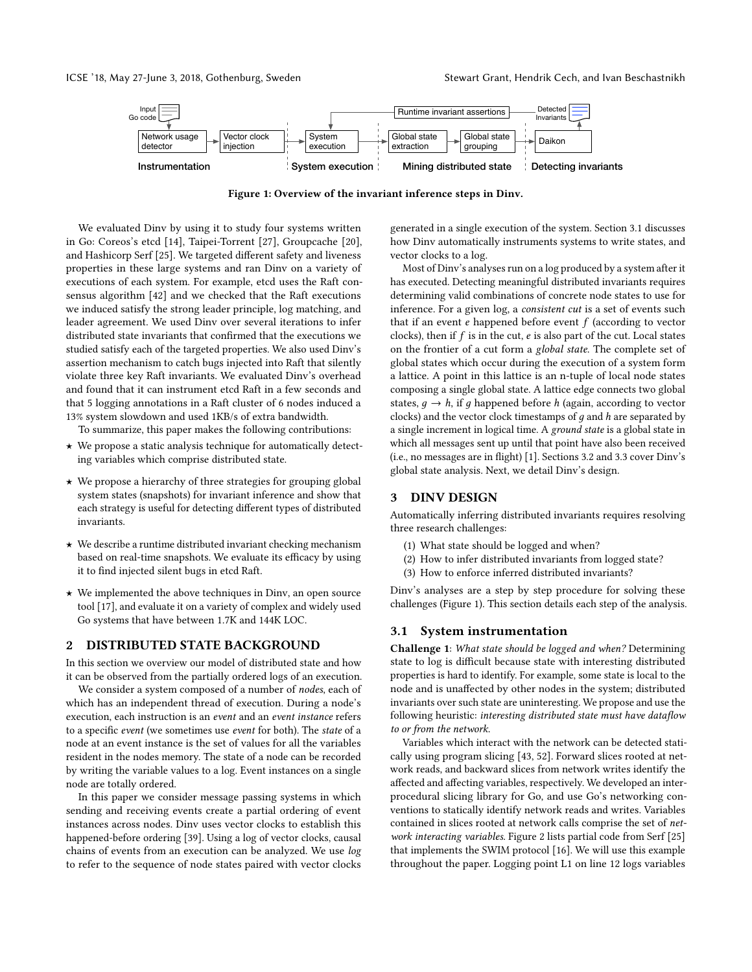<span id="page-1-1"></span>

Figure 1: Overview of the invariant inference steps in Dinv.

We evaluated Dinv by using it to study four systems written in Go: Coreos's etcd [\[14\]](#page-10-9), Taipei-Torrent [\[27\]](#page-10-10), Groupcache [\[20\]](#page-10-11), and Hashicorp Serf [\[25\]](#page-10-12). We targeted different safety and liveness properties in these large systems and ran Dinv on a variety of executions of each system. For example, etcd uses the Raft consensus algorithm [\[42\]](#page-10-13) and we checked that the Raft executions we induced satisfy the strong leader principle, log matching, and leader agreement. We used Dinv over several iterations to infer distributed state invariants that confirmed that the executions we studied satisfy each of the targeted properties. We also used Dinv's assertion mechanism to catch bugs injected into Raft that silently violate three key Raft invariants. We evaluated Dinv's overhead and found that it can instrument etcd Raft in a few seconds and that 5 logging annotations in a Raft cluster of 6 nodes induced a 13% system slowdown and used 1KB/s of extra bandwidth.

To summarize, this paper makes the following contributions:

- $\star$  We propose a static analysis technique for automatically detecting variables which comprise distributed state.
- $\star$  We propose a hierarchy of three strategies for grouping global system states (snapshots) for invariant inference and show that each strategy is useful for detecting different types of distributed invariants.
- $\star$  We describe a runtime distributed invariant checking mechanism based on real-time snapshots. We evaluate its efficacy by using it to find injected silent bugs in etcd Raft.
- $\star$  We implemented the above techniques in Dinv, an open source tool [\[17\]](#page-10-14), and evaluate it on a variety of complex and widely used Go systems that have between 1.7K and 144K LOC.

### <span id="page-1-2"></span>2 DISTRIBUTED STATE BACKGROUND

In this section we overview our model of distributed state and how it can be observed from the partially ordered logs of an execution.

We consider a system composed of a number of nodes, each of which has an independent thread of execution. During a node's execution, each instruction is an event and an event instance refers to a specific event (we sometimes use event for both). The state of a node at an event instance is the set of values for all the variables resident in the nodes memory. The state of a node can be recorded by writing the variable values to a log. Event instances on a single node are totally ordered.

In this paper we consider message passing systems in which sending and receiving events create a partial ordering of event instances across nodes. Dinv uses vector clocks to establish this happened-before ordering [\[39\]](#page-10-15). Using a log of vector clocks, causal chains of events from an execution can be analyzed. We use log to refer to the sequence of node states paired with vector clocks

generated in a single execution of the system. Section [3.1](#page-1-0) discusses how Dinv automatically instruments systems to write states, and vector clocks to a log.

Most of Dinv's analyses run on a log produced by a system after it has executed. Detecting meaningful distributed invariants requires determining valid combinations of concrete node states to use for inference. For a given log, a consistent cut is a set of events such that if an event  $e$  happened before event  $f$  (according to vector clocks), then if  $f$  is in the cut,  $e$  is also part of the cut. Local states on the frontier of a cut form a global state. The complete set of global states which occur during the execution of a system form a lattice. A point in this lattice is an n-tuple of local node states composing a single global state. A lattice edge connects two global states,  $g \rightarrow h$ , if g happened before h (again, according to vector clocks) and the vector clock timestamps of  $q$  and  $h$  are separated by a single increment in logical time. A ground state is a global state in which all messages sent up until that point have also been received (i.e., no messages are in flight) [\[1\]](#page-10-16). Sections [3.2](#page-2-0) and [3.3](#page-3-0) cover Dinv's global state analysis. Next, we detail Dinv's design.

### 3 DINV DESIGN

Automatically inferring distributed invariants requires resolving three research challenges:

- (1) What state should be logged and when?
- (2) How to infer distributed invariants from logged state?
- (3) How to enforce inferred distributed invariants?

Dinv's analyses are a step by step procedure for solving these challenges (Figure [1\)](#page-1-1). This section details each step of the analysis.

#### <span id="page-1-0"></span>3.1 System instrumentation

Challenge 1: What state should be logged and when? Determining state to log is difficult because state with interesting distributed properties is hard to identify. For example, some state is local to the node and is unaffected by other nodes in the system; distributed invariants over such state are uninteresting. We propose and use the following heuristic: interesting distributed state must have dataflow to or from the network.

Variables which interact with the network can be detected statically using program slicing [\[43,](#page-10-17) [52\]](#page-10-18). Forward slices rooted at network reads, and backward slices from network writes identify the affected and affecting variables, respectively. We developed an interprocedural slicing library for Go, and use Go's networking conventions to statically identify network reads and writes. Variables contained in slices rooted at network calls comprise the set of network interacting variables. Figure [2](#page-2-1) lists partial code from Serf [\[25\]](#page-10-12) that implements the SWIM protocol [\[16\]](#page-10-19). We will use this example throughout the paper. Logging point L1 on line 12 logs variables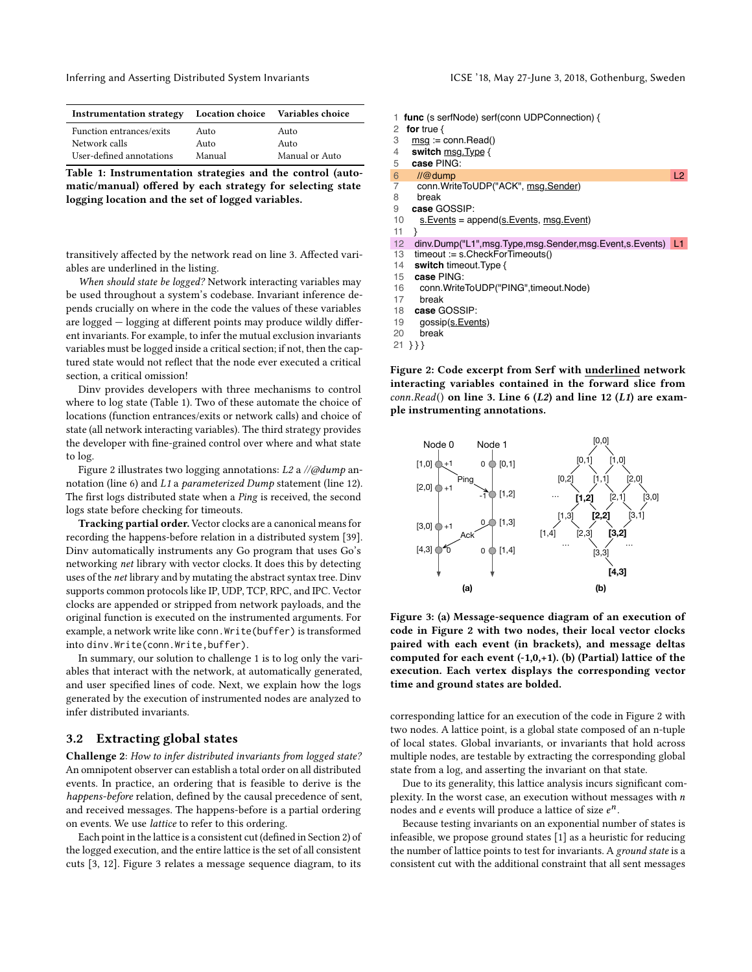L2

<span id="page-2-2"></span>

| Instrumentation strategy Location choice Variables choice |        |                |
|-----------------------------------------------------------|--------|----------------|
| Function entrances/exits                                  | Auto   | Auto           |
| Network calls                                             | Auto   | Auto           |
| User-defined annotations                                  | Manual | Manual or Auto |

Table 1: Instrumentation strategies and the control (automatic/manual) offered by each strategy for selecting state logging location and the set of logged variables.

transitively affected by the network read on line 3. Affected variables are underlined in the listing.

When should state be logged? Network interacting variables may be used throughout a system's codebase. Invariant inference depends crucially on where in the code the values of these variables are logged — logging at different points may produce wildly different invariants. For example, to infer the mutual exclusion invariants variables must be logged inside a critical section; if not, then the captured state would not reflect that the node ever executed a critical section, a critical omission!

Dinv provides developers with three mechanisms to control where to log state (Table [1\)](#page-2-2). Two of these automate the choice of locations (function entrances/exits or network calls) and choice of state (all network interacting variables). The third strategy provides the developer with fine-grained control over where and what state to log.

Figure [2](#page-2-1) illustrates two logging annotations: L2 a  $\sqrt{\omega}$ dump annotation (line 6) and L1 a parameterized Dump statement (line 12). The first logs distributed state when a Ping is received, the second logs state before checking for timeouts.

Tracking partial order. Vector clocks are a canonical means for recording the happens-before relation in a distributed system [\[39\]](#page-10-15). Dinv automatically instruments any Go program that uses Go's networking net library with vector clocks. It does this by detecting uses of the net library and by mutating the abstract syntax tree. Dinv supports common protocols like IP, UDP, TCP, RPC, and IPC. Vector clocks are appended or stripped from network payloads, and the original function is executed on the instrumented arguments. For example, a network write like conn.Write(buffer) is transformed into dinv.Write(conn.Write,buffer).

In summary, our solution to challenge 1 is to log only the variables that interact with the network, at automatically generated, and user specified lines of code. Next, we explain how the logs generated by the execution of instrumented nodes are analyzed to infer distributed invariants.

# <span id="page-2-0"></span>3.2 Extracting global states

Challenge 2: How to infer distributed invariants from logged state? An omnipotent observer can establish a total order on all distributed events. In practice, an ordering that is feasible to derive is the happens-before relation, defined by the causal precedence of sent, and received messages. The happens-before is a partial ordering on events. We use lattice to refer to this ordering.

Each point in the lattice is a consistent cut (defined in Section [2\)](#page-1-2) of the logged execution, and the entire lattice is the set of all consistent cuts [\[3,](#page-10-20) [12\]](#page-10-21). Figure [3](#page-2-3) relates a message sequence diagram, to its

<span id="page-2-1"></span>

|  |  |  |  | 1 func (s serfNode) serf(conn UDPConnection) { |
|--|--|--|--|------------------------------------------------|
|--|--|--|--|------------------------------------------------|

- 2 **for** true {<br>3 mso =  $\epsilon$
- $msq := conn.Flead()$
- 4 **switch** msg.Type {
- 5 **case** PING:
- 6 //@dump
- 7 conn.WriteToUDP("ACK", msg.Sender)
- $8$  break<br> $9$  case G 9 **case** GOSSIP:
- 10 s.Events = append(s.Events, msg.Event)
- 11 }

12 dinv.Dump("L1",msg.Type,msg.Sender,msg.Event,s.Events) L1

- 13 timeout := s.CheckForTimeouts()
- 14 **switch** timeout.Type {
- 15 **case** PING:
- 16 conn.WriteToUDP("PING",timeout.Node)
- 17 break<br>18 **case** G
- 18 **case** GOSSIP:
- 19 gossip(s.Events)
- 20 break
- 21 } } }

Figure 2: Code excerpt from Serf with underlined network interacting variables contained in the forward slice from  $conn. Read()$  on line 3. Line 6 (L2) and line 12 (L1) are example instrumenting annotations.

<span id="page-2-3"></span>

Figure 3: (a) Message-sequence diagram of an execution of code in Figure [2](#page-2-1) with two nodes, their local vector clocks paired with each event (in brackets), and message deltas computed for each event  $(-1,0,+1)$ . (b) (Partial) lattice of the execution. Each vertex displays the corresponding vector time and ground states are bolded.

corresponding lattice for an execution of the code in Figure [2](#page-2-1) with two nodes. A lattice point, is a global state composed of an n-tuple of local states. Global invariants, or invariants that hold across multiple nodes, are testable by extracting the corresponding global state from a log, and asserting the invariant on that state.

Due to its generality, this lattice analysis incurs significant complexity. In the worst case, an execution without messages with  $n$ nodes and *e* events will produce a lattice of size *e<sup>n</sup>*.<br>Because testing invariants on an exponential num

Because testing invariants on an exponential number of states is infeasible, we propose ground states [\[1\]](#page-10-16) as a heuristic for reducing the number of lattice points to test for invariants. A ground state is a consistent cut with the additional constraint that all sent messages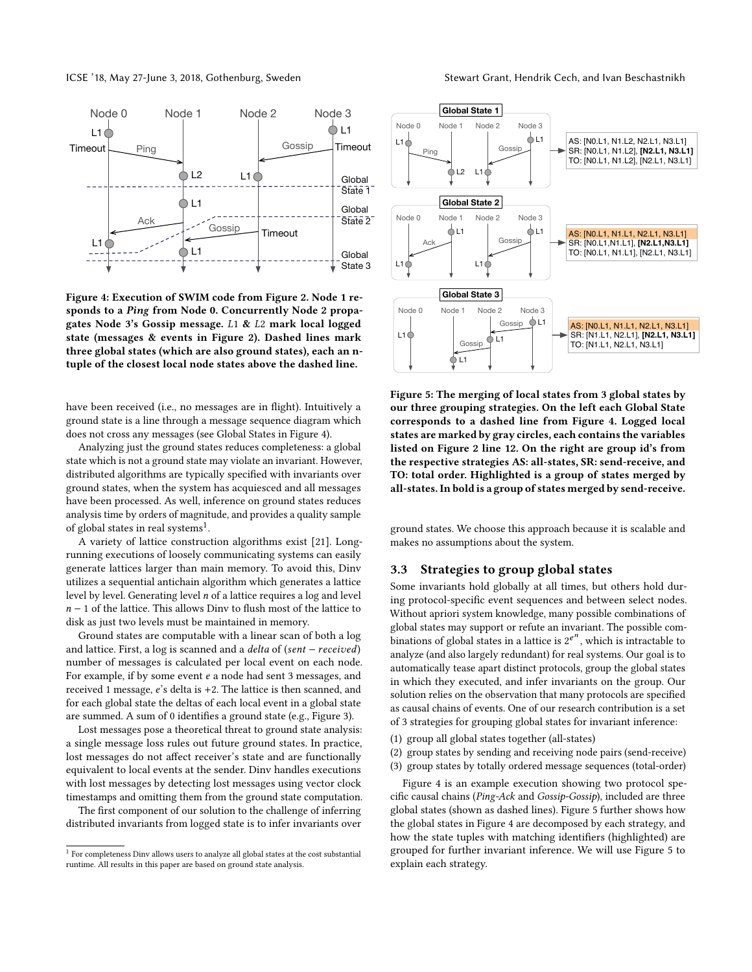L1

<span id="page-3-1"></span>

Global State 3

Figure 4: Execution of SWIM code from Figure [2.](#page-2-1) Node 1 responds to a Ping from Node 0. Concurrently Node 2 propagates Node 3's Gossip message. <sup>L</sup><sup>1</sup> & L<sup>2</sup> mark local logged state (messages & events in Figure [2\)](#page-2-1). Dashed lines mark three global states (which are also ground states), each an ntuple of the closest local node states above the dashed line.

 $\bigcirc$  L1

have been received (i.e., no messages are in flight). Intuitively a ground state is a line through a message sequence diagram which does not cross any messages (see Global States in Figure [4\)](#page-3-1).

Analyzing just the ground states reduces completeness: a global state which is not a ground state may violate an invariant. However, distributed algorithms are typically specified with invariants over ground states, when the system has acquiesced and all messages have been processed. As well, inference on ground states reduces analysis time by orders of magnitude, and provides a quality sample of global states in real systems<sup>[1](#page-3-2)</sup>.

A variety of lattice construction algorithms exist [\[21\]](#page-10-22). Longrunning executions of loosely communicating systems can easily generate lattices larger than main memory. To avoid this, Dinv utilizes a sequential antichain algorithm which generates a lattice level by level. Generating level n of a lattice requires a log and level  $n - 1$  of the lattice. This allows Dinv to flush most of the lattice to disk as just two levels must be maintained in memory.

Ground states are computable with a linear scan of both a log and lattice. First, a log is scanned and a delta of (sent <sup>−</sup> received) number of messages is calculated per local event on each node. For example, if by some event e a node had sent <sup>3</sup> messages, and received <sup>1</sup> message, e's delta is <sup>+</sup>2. The lattice is then scanned, and for each global state the deltas of each local event in a global state are summed. A sum of 0 identifies a ground state (e.g., Figure [3\)](#page-2-3).

Lost messages pose a theoretical threat to ground state analysis: a single message loss rules out future ground states. In practice, lost messages do not affect receiver's state and are functionally equivalent to local events at the sender. Dinv handles executions with lost messages by detecting lost messages using vector clock timestamps and omitting them from the ground state computation.

The first component of our solution to the challenge of inferring distributed invariants from logged state is to infer invariants over

<span id="page-3-3"></span>

Figure 5: The merging of local states from 3 global states by our three grouping strategies. On the left each Global State corresponds to a dashed line from Figure [4.](#page-3-1) Logged local states are marked by gray circles, each contains the variables listed on Figure [2](#page-2-1) line 12. On the right are group id's from the respective strategies AS: all-states, SR: send-receive, and TO: total order. Highlighted is a group of states merged by all-states. In bold is a group of states merged by send-receive.

ground states. We choose this approach because it is scalable and makes no assumptions about the system.

### <span id="page-3-0"></span>3.3 Strategies to group global states

Example the state of global rates in the matrix in the state and the state and the state and proposition of the state and the state and the state and the state and the state and the state and the state and the state and th Some invariants hold globally at all times, but others hold during protocol-specific event sequences and between select nodes. Without apriori system knowledge, many possible combinations of global states may support or refute an invariant. The possible combinations of global states in a lattice is  $2^{e^n}$ , which is intractable to analyze (and also largely redundant) for real systems. Our goal is to automatically tease apart distinct protocols, group the global states in which they executed, and infer invariants on the group. Our solution relies on the observation that many protocols are specified as causal chains of events. One of our research contribution is a set of 3 strategies for grouping global states for invariant inference:

- (1) group all global states together (all-states)
- (2) group states by sending and receiving node pairs (send-receive)
- (3) group states by totally ordered message sequences (total-order)

Figure [4](#page-3-1) is an example execution showing two protocol specific causal chains (Ping-Ack and Gossip-Gossip), included are three global states (shown as dashed lines). Figure [5](#page-3-3) further shows how the global states in Figure [4](#page-3-1) are decomposed by each strategy, and how the state tuples with matching identifiers (highlighted) are grouped for further invariant inference. We will use Figure [5](#page-3-3) to explain each strategy.

<span id="page-3-2"></span><sup>&</sup>lt;sup>1</sup> For completeness Dinv allows users to analyze all global states at the cost substantial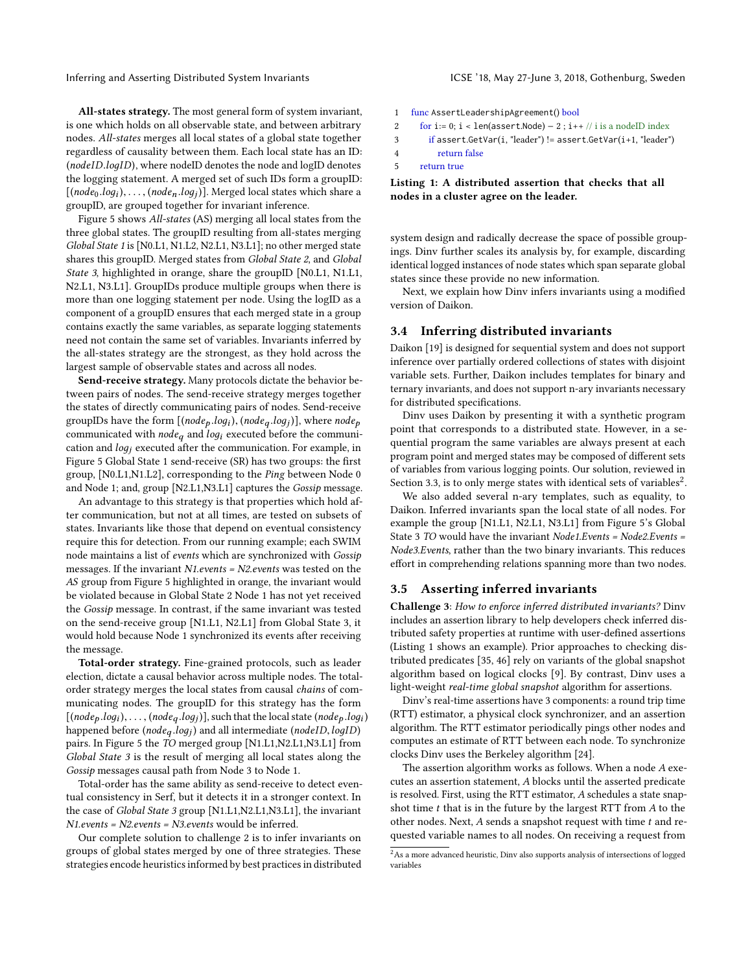1 func AssertLeadershipAgreement() bool

```
2 for i:= 0; i < len(assert.Node) – 2; i++ // i is a nodeID index
```

```
3 if assert.GetVar(i, "leader") != assert.GetVar(i+1, "leader")
```

```
4 return false
```
5 return true

Listing 1: A distributed assertion that checks that all nodes in a cluster agree on the leader.

system design and radically decrease the space of possible groupings. Dinv further scales its analysis by, for example, discarding identical logged instances of node states which span separate global states since these provide no new information.

Next, we explain how Dinv infers invariants using a modified version of Daikon.

# 3.4 Inferring distributed invariants

Daikon [\[19\]](#page-10-8) is designed for sequential system and does not support inference over partially ordered collections of states with disjoint variable sets. Further, Daikon includes templates for binary and ternary invariants, and does not support n-ary invariants necessary for distributed specifications.

Dinv uses Daikon by presenting it with a synthetic program point that corresponds to a distributed state. However, in a sequential program the same variables are always present at each program point and merged states may be composed of different sets of variables from various logging points. Our solution, reviewed in Section [3.3,](#page-3-0) is to only merge states with identical sets of variables<sup>[2](#page-4-0)</sup>.

We also added several n-ary templates, such as equality, to Daikon. Inferred invariants span the local state of all nodes. For example the group [N1.L1, N2.L1, N3.L1] from Figure [5'](#page-3-3)s Global State 3 TO would have the invariant Node1.Events = Node2.Events = Node3.Events, rather than the two binary invariants. This reduces effort in comprehending relations spanning more than two nodes.

### 3.5 Asserting inferred invariants

Challenge 3: How to enforce inferred distributed invariants? Dinv includes an assertion library to help developers check inferred distributed safety properties at runtime with user-defined assertions (Listing [1](#page-4-1) shows an example). Prior approaches to checking distributed predicates [\[35,](#page-10-7) [46\]](#page-10-23) rely on variants of the global snapshot algorithm based on logical clocks [\[9\]](#page-10-24). By contrast, Dinv uses a light-weight real-time global snapshot algorithm for assertions.

Dinv's real-time assertions have 3 components: a round trip time (RTT) estimator, a physical clock synchronizer, and an assertion algorithm. The RTT estimator periodically pings other nodes and computes an estimate of RTT between each node. To synchronize clocks Dinv uses the Berkeley algorithm [\[24\]](#page-10-25).

The assertion algorithm works as follows. When a node A executes an assertion statement, A blocks until the asserted predicate is resolved. First, using the RTT estimator, A schedules a state snapshot time  $t$  that is in the future by the largest RTT from  $A$  to the other nodes. Next,  $A$  sends a snapshot request with time  $t$  and requested variable names to all nodes. On receiving a request from

All-states strategy. The most general form of system invariant, is one which holds on all observable state, and between arbitrary nodes. All-states merges all local states of a global state together regardless of causality between them. Each local state has an ID: (nodeID.loдID), where nodeID denotes the node and logID denotes the logging statement. A merged set of such IDs form a groupID:  $[(node_0.log_i), \ldots, (node_n.log_j)].$  Merged local states which share a ground consider for invariant inference groupID, are grouped together for invariant inference.

Figure [5](#page-3-3) shows All-states (AS) merging all local states from the three global states. The groupID resulting from all-states merging Global State 1 is [N0.L1, N1.L2, N2.L1, N3.L1]; no other merged state shares this groupID. Merged states from Global State 2, and Global State 3, highlighted in orange, share the groupID [N0.L1, N1.L1, N2.L1, N3.L1]. GroupIDs produce multiple groups when there is more than one logging statement per node. Using the logID as a component of a groupID ensures that each merged state in a group contains exactly the same variables, as separate logging statements need not contain the same set of variables. Invariants inferred by the all-states strategy are the strongest, as they hold across the largest sample of observable states and across all nodes.

Send-receive strategy. Many protocols dictate the behavior between pairs of nodes. The send-receive strategy merges together the states of directly communicating pairs of nodes. Send-receive groupIDs have the form  $[(node_p.log_i), (node_q.log_j)],$  where  $node_p$ <br>communicated with node, and log, executed before the communi communicated with node<sub>q</sub> and log<sub>i</sub> executed before the communication and  $log<sub>j</sub>$  executed after the communication. For example, in Figure [5](#page-3-3) Global State 1 send-receive (SR) has two groups: the first group, [N0.L1,N1.L2], corresponding to the Ping between Node 0 and Node 1; and, group [N2.L1,N3.L1] captures the Gossip message.

An advantage to this strategy is that properties which hold after communication, but not at all times, are tested on subsets of states. Invariants like those that depend on eventual consistency require this for detection. From our running example; each SWIM node maintains a list of events which are synchronized with Gossip messages. If the invariant  $N1.events = N2.events$  was tested on the AS group from Figure [5](#page-3-3) highlighted in orange, the invariant would be violated because in Global State 2 Node 1 has not yet received the Gossip message. In contrast, if the same invariant was tested on the send-receive group [N1.L1, N2.L1] from Global State 3, it would hold because Node 1 synchronized its events after receiving the message.

Total-order strategy. Fine-grained protocols, such as leader election, dictate a causal behavior across multiple nodes. The totalorder strategy merges the local states from causal chains of communicating nodes. The groupID for this strategy has the form  $[(node_p.log_i), \ldots, (node_q.log_j)],$  such that the local state  $(node_p.log_i)$ <br>bannened before  $(node_p_1, load_q_2)$  and all intermediate  $(node_j_1, load_q)$ happened before  $(node_q.log_j)$  and all intermediate  $(nodeID, logID)$ <br>pairs. In Figure 5 the  $TQ$  merged group [N1 I 1 N2 I 1 N3 I 1] from pairs. In Figure [5](#page-3-3) the TO merged group [N1.L1,N2.L1,N3.L1] from Global State 3 is the result of merging all local states along the Gossip messages causal path from Node 3 to Node 1.

Total-order has the same ability as send-receive to detect eventual consistency in Serf, but it detects it in a stronger context. In the case of Global State 3 group [N1.L1,N2.L1,N3.L1], the invariant N1.events = N2.events = N3.events would be inferred.

Our complete solution to challenge 2 is to infer invariants on groups of global states merged by one of three strategies. These strategies encode heuristics informed by best practices in distributed

<span id="page-4-0"></span> $^2\mathrm{As}$  a more advanced heuristic, Dinv also supports analysis of intersections of logged variables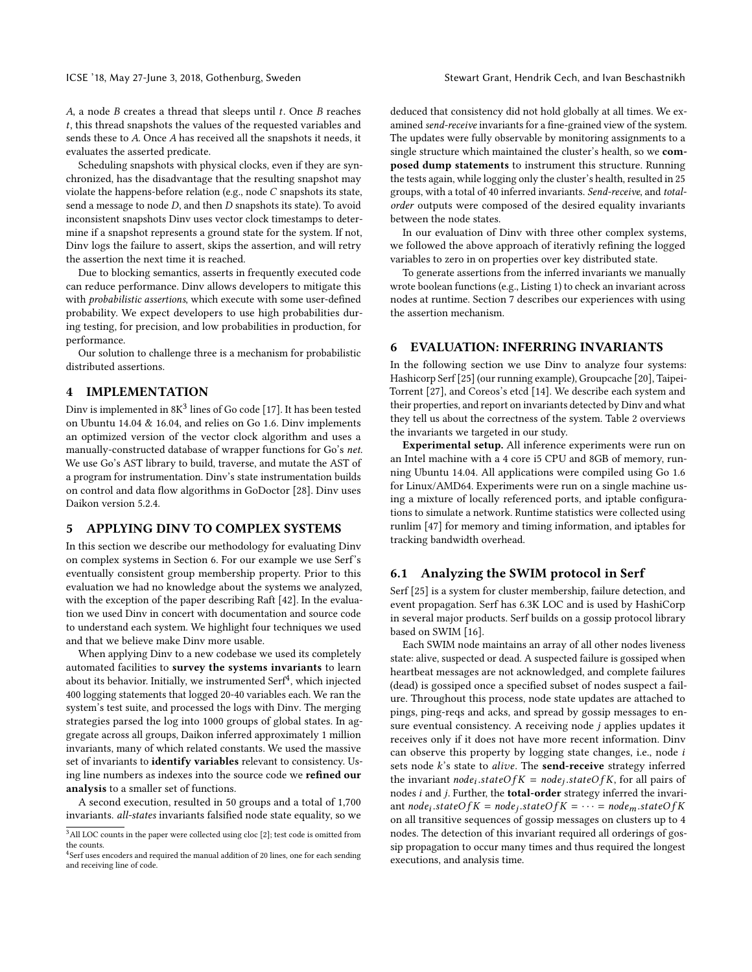A, a node  $B$  creates a thread that sleeps until  $t$ . Once  $B$  reaches t, this thread snapshots the values of the requested variables and sends these to A. Once A has received all the snapshots it needs, it evaluates the asserted predicate.

Scheduling snapshots with physical clocks, even if they are synchronized, has the disadvantage that the resulting snapshot may violate the happens-before relation (e.g., node  $C$  snapshots its state, send a message to node D, and then D snapshots its state). To avoid inconsistent snapshots Dinv uses vector clock timestamps to determine if a snapshot represents a ground state for the system. If not, Dinv logs the failure to assert, skips the assertion, and will retry the assertion the next time it is reached.

Due to blocking semantics, asserts in frequently executed code can reduce performance. Dinv allows developers to mitigate this with probabilistic assertions, which execute with some user-defined probability. We expect developers to use high probabilities during testing, for precision, and low probabilities in production, for performance.

Our solution to challenge three is a mechanism for probabilistic distributed assertions.

# 4 IMPLEMENTATION

Dinv is implemented in  $8K^3$  $8K^3$  lines of Go code [\[17\]](#page-10-14). It has been tested on Ubuntu 14.04 & 16.04, and relies on Go 1.6. Dinv implements an optimized version of the vector clock algorithm and uses a manually-constructed database of wrapper functions for Go's net. We use Go's AST library to build, traverse, and mutate the AST of a program for instrumentation. Dinv's state instrumentation builds on control and data flow algorithms in GoDoctor [\[28\]](#page-10-26). Dinv uses Daikon version 5.2.4.

# 5 APPLYING DINV TO COMPLEX SYSTEMS

In this section we describe our methodology for evaluating Dinv on complex systems in Section [6.](#page-5-1) For our example we use Serf's eventually consistent group membership property. Prior to this evaluation we had no knowledge about the systems we analyzed, with the exception of the paper describing Raft [\[42\]](#page-10-13). In the evaluation we used Dinv in concert with documentation and source code to understand each system. We highlight four techniques we used and that we believe make Dinv more usable.

When applying Dinv to a new codebase we used its completely automated facilities to survey the systems invariants to learn about its behavior. Initially, we instrumented  $Serf^4$  $Serf^4$ , which injected 400 logging statements that logged 20-40 variables each. We ran the system's test suite, and processed the logs with Dinv. The merging strategies parsed the log into 1000 groups of global states. In aggregate across all groups, Daikon inferred approximately 1 million invariants, many of which related constants. We used the massive set of invariants to identify variables relevant to consistency. Using line numbers as indexes into the source code we refined our analysis to a smaller set of functions.

A second execution, resulted in 50 groups and a total of 1,700 invariants. all-states invariants falsified node state equality, so we deduced that consistency did not hold globally at all times. We examined send-receive invariants for a fine-grained view of the system. The updates were fully observable by monitoring assignments to a single structure which maintained the cluster's health, so we composed dump statements to instrument this structure. Running the tests again, while logging only the cluster's health, resulted in 25 groups, with a total of 40 inferred invariants. Send-receive, and totalorder outputs were composed of the desired equality invariants between the node states.

In our evaluation of Dinv with three other complex systems, we followed the above approach of iterativly refining the logged variables to zero in on properties over key distributed state.

To generate assertions from the inferred invariants we manually wrote boolean functions (e.g., Listing [1\)](#page-4-1) to check an invariant across nodes at runtime. Section [7](#page-7-0) describes our experiences with using the assertion mechanism.

# <span id="page-5-1"></span>6 EVALUATION: INFERRING INVARIANTS

In the following section we use Dinv to analyze four systems: Hashicorp Serf [\[25\]](#page-10-12) (our running example), Groupcache [\[20\]](#page-10-11), Taipei-Torrent [\[27\]](#page-10-10), and Coreos's etcd [\[14\]](#page-10-9). We describe each system and their properties, and report on invariants detected by Dinv and what they tell us about the correctness of the system. Table [2](#page-6-0) overviews the invariants we targeted in our study.

Experimental setup. All inference experiments were run on an Intel machine with a 4 core i5 CPU and 8GB of memory, running Ubuntu 14.04. All applications were compiled using Go 1.6 for Linux/AMD64. Experiments were run on a single machine using a mixture of locally referenced ports, and iptable configurations to simulate a network. Runtime statistics were collected using runlim [\[47\]](#page-10-28) for memory and timing information, and iptables for tracking bandwidth overhead.

# 6.1 Analyzing the SWIM protocol in Serf

Serf [\[25\]](#page-10-12) is a system for cluster membership, failure detection, and event propagation. Serf has 6.3K LOC and is used by HashiCorp in several major products. Serf builds on a gossip protocol library based on SWIM [\[16\]](#page-10-19).

Each SWIM node maintains an array of all other nodes liveness state: alive, suspected or dead. A suspected failure is gossiped when heartbeat messages are not acknowledged, and complete failures (dead) is gossiped once a specified subset of nodes suspect a failure. Throughout this process, node state updates are attached to pings, ping-reqs and acks, and spread by gossip messages to ensure eventual consistency. A receiving node j applies updates it receives only if it does not have more recent information. Dinv can observe this property by logging state changes, i.e., node i sets node  $k$ 's state to *alive*. The **send-receive** strategy inferred the invariant  $node_i.stateOfK = node_j.stateOfK$ , for all pairs of nodes *i* and *i* Eurther the **total-order** strategy inferred the invariant nodes i and j. Further, the total-order strategy inferred the invariant node<sub>i</sub>.stateO f K = node<sub>j</sub>.stateO f K =  $\cdots$  = node<sub>m</sub>.stateO f K on all transitive sequences of gossin messages on clusters up to 4 on all transitive sequences of gossip messages on clusters up to 4 nodes. The detection of this invariant required all orderings of gossip propagation to occur many times and thus required the longest executions, and analysis time.

<span id="page-5-0"></span> $^3\rm{All}$  LOC counts in the paper were collected using cloc [\[2\]](#page-10-27); test code is omitted from the counts.

<span id="page-5-2"></span><sup>&</sup>lt;sup>4</sup>Serf uses encoders and required the manual addition of 20 lines, one for each sending and receiving line of code.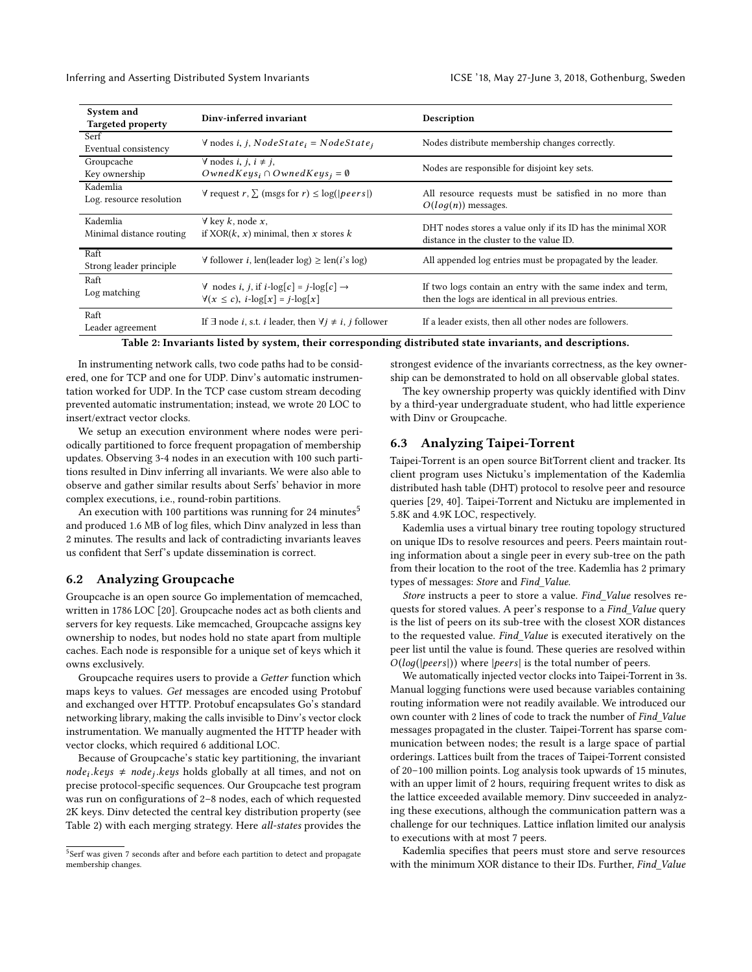<span id="page-6-0"></span>

| System and<br><b>Targeted property</b> | Dinv-inferred invariant                                                                                                                               | Description                                                                                                        |
|----------------------------------------|-------------------------------------------------------------------------------------------------------------------------------------------------------|--------------------------------------------------------------------------------------------------------------------|
| Serf<br>Eventual consistency           | $\forall$ nodes <i>i</i> , <i>j</i> , <i>NodeState</i> <sub><i>i</i></sub> = <i>NodeState</i> <sub><i>i</i></sub>                                     | Nodes distribute membership changes correctly.                                                                     |
| Groupcache<br>Key ownership            | $\forall$ nodes <i>i</i> , <i>j</i> , <i>i</i> $\neq$ <i>j</i> ,<br>$OwnedKeys_i \cap OwnedKeys_i = \emptyset$                                        | Nodes are responsible for disjoint key sets.                                                                       |
| Kademlia<br>Log. resource resolution   | $\forall$ request r, $\sum$ (msgs for r) $\leq$ log( peers )                                                                                          | All resource requests must be satisfied in no more than<br>$O(log(n))$ messages.                                   |
| Kademlia<br>Minimal distance routing   | $\forall$ key k, node x,<br>if XOR $(k, x)$ minimal, then x stores k                                                                                  | DHT nodes stores a value only if its ID has the minimal XOR<br>distance in the cluster to the value ID.            |
| Raft<br>Strong leader principle        | $\forall$ follower <i>i</i> , len(leader log) $\geq$ len( <i>i</i> 's log)                                                                            | All appended log entries must be propagated by the leader.                                                         |
| Raft<br>Log matching                   | $\forall$ nodes <i>i</i> , <i>j</i> , if <i>i</i> -log[c] = <i>j</i> -log[c] $\rightarrow$<br>$\forall (x \leq c), i\text{-log}[x] = j\text{-log}[x]$ | If two logs contain an entry with the same index and term,<br>then the logs are identical in all previous entries. |
| Raft<br>Leader agreement               | If $\exists$ node <i>i</i> , s.t. <i>i</i> leader, then $\forall j \neq i$ , <i>j</i> follower                                                        | If a leader exists, then all other nodes are followers.                                                            |

Table 2: Invariants listed by system, their corresponding distributed state invariants, and descriptions.

In instrumenting network calls, two code paths had to be considered, one for TCP and one for UDP. Dinv's automatic instrumentation worked for UDP. In the TCP case custom stream decoding prevented automatic instrumentation; instead, we wrote 20 LOC to insert/extract vector clocks.

We setup an execution environment where nodes were periodically partitioned to force frequent propagation of membership updates. Observing 3-4 nodes in an execution with 100 such partitions resulted in Dinv inferring all invariants. We were also able to observe and gather similar results about Serfs' behavior in more complex executions, i.e., round-robin partitions.

An execution with 100 partitions was running for 24 minutes<sup>[5](#page-6-1)</sup> and produced 1.6 MB of log files, which Dinv analyzed in less than 2 minutes. The results and lack of contradicting invariants leaves us confident that Serf's update dissemination is correct.

### <span id="page-6-2"></span>6.2 Analyzing Groupcache

Groupcache is an open source Go implementation of memcached, written in 1786 LOC [\[20\]](#page-10-11). Groupcache nodes act as both clients and servers for key requests. Like memcached, Groupcache assigns key ownership to nodes, but nodes hold no state apart from multiple caches. Each node is responsible for a unique set of keys which it owns exclusively.

Groupcache requires users to provide a Getter function which maps keys to values. Get messages are encoded using Protobuf and exchanged over HTTP. Protobuf encapsulates Go's standard networking library, making the calls invisible to Dinv's vector clock instrumentation. We manually augmented the HTTP header with vector clocks, which required 6 additional LOC.

Because of Groupcache's static key partitioning, the invariant node<sub>1</sub> may be seen the contract of the sequences. Our Groupcache test program  $\textit{keys} \neq \textit{node}_j.\textit{keys}$  holds globally at all times, and not on  $\textit{zeros}$  protocol-specific sequences. Our Groupcache test program was run on configurations of 2–8 nodes, each of which requested 2K keys. Dinv detected the central key distribution property (see Table [2\)](#page-6-0) with each merging strategy. Here all-states provides the strongest evidence of the invariants correctness, as the key ownership can be demonstrated to hold on all observable global states.

The key ownership property was quickly identified with Dinv by a third-year undergraduate student, who had little experience with Dinv or Groupcache.

### 6.3 Analyzing Taipei-Torrent

Taipei-Torrent is an open source BitTorrent client and tracker. Its client program uses Nictuku's implementation of the Kademlia distributed hash table (DHT) protocol to resolve peer and resource queries [\[29,](#page-10-29) [40\]](#page-10-30). Taipei-Torrent and Nictuku are implemented in 5.8K and 4.9K LOC, respectively.

Kademlia uses a virtual binary tree routing topology structured on unique IDs to resolve resources and peers. Peers maintain routing information about a single peer in every sub-tree on the path from their location to the root of the tree. Kademlia has 2 primary types of messages: Store and Find\_Value.

Store instructs a peer to store a value. Find\_Value resolves requests for stored values. A peer's response to a Find\_Value query is the list of peers on its sub-tree with the closest XOR distances to the requested value. Find\_Value is executed iteratively on the peer list until the value is found. These queries are resolved within  $O(log(|\text{peers}|))$  where  $|\text{peers}|$  is the total number of peers.

We automatically injected vector clocks into Taipei-Torrent in 3s. Manual logging functions were used because variables containing routing information were not readily available. We introduced our own counter with 2 lines of code to track the number of Find\_Value messages propagated in the cluster. Taipei-Torrent has sparse communication between nodes; the result is a large space of partial orderings. Lattices built from the traces of Taipei-Torrent consisted of 20–100 million points. Log analysis took upwards of 15 minutes, with an upper limit of 2 hours, requiring frequent writes to disk as the lattice exceeded available memory. Dinv succeeded in analyzing these executions, although the communication pattern was a challenge for our techniques. Lattice inflation limited our analysis to executions with at most 7 peers.

Kademlia specifies that peers must store and serve resources with the minimum XOR distance to their IDs. Further, Find\_Value

<span id="page-6-1"></span><sup>&</sup>lt;sup>5</sup>Serf was given 7 seconds after and before each partition to detect and propagate membership changes.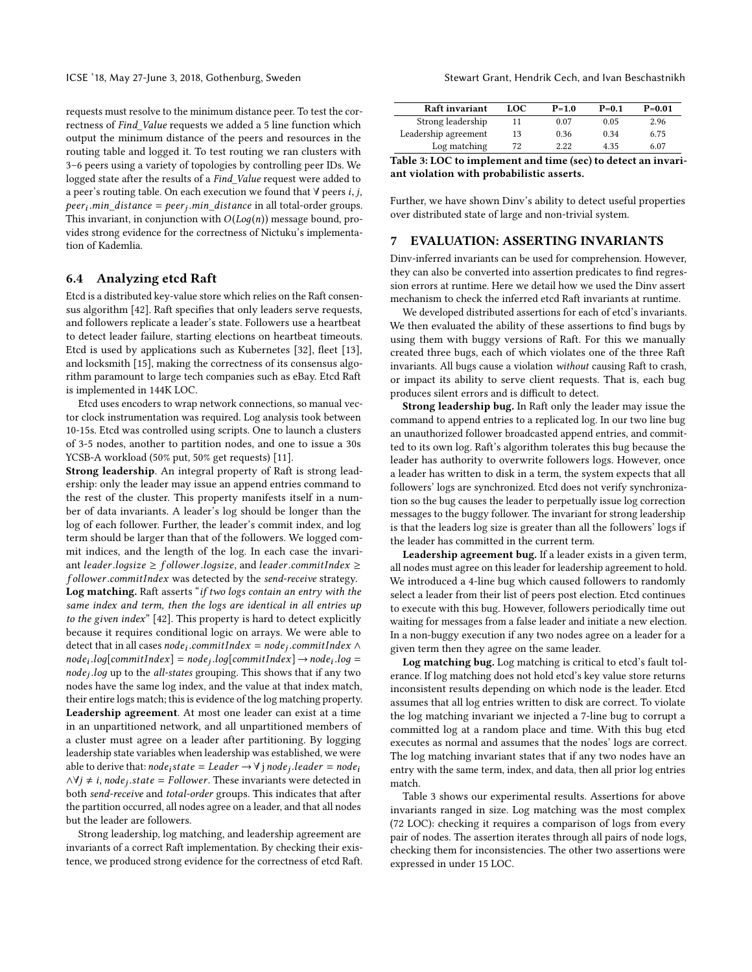ICSE '18, May 27-June 3, 2018, Gothenburg, Sweden Stewart Grant, Hendrik Cech, and Ivan Beschastnikh

requests must resolve to the minimum distance peer. To test the correctness of Find\_Value requests we added a 5 line function which output the minimum distance of the peers and resources in the routing table and logged it. To test routing we ran clusters with 3–6 peers using a variety of topologies by controlling peer IDs. We logged state after the results of a Find\_Value request were added to a peer's routing table. On each execution we found that  $\forall$  peers i, j, This invariant, in conjunction with  $O(Log(n))$  message bound, pro-<br>This invariant, in conjunction with  $O(Log(n))$  message bound, pro $min\_distance = peer_j.min\_distance$  in all total-order groups.<br>invariant in conjunction with  $O(Lo(n))$  message bound provides strong evidence for the correctness of Nictuku's implementation of Kademlia.

#### 6.4 Analyzing etcd Raft

Etcd is a distributed key-value store which relies on the Raft consensus algorithm [\[42\]](#page-10-13). Raft specifies that only leaders serve requests, and followers replicate a leader's state. Followers use a heartbeat to detect leader failure, starting elections on heartbeat timeouts. Etcd is used by applications such as Kubernetes [\[32\]](#page-10-31), fleet [\[13\]](#page-10-32), and locksmith [\[15\]](#page-10-33), making the correctness of its consensus algorithm paramount to large tech companies such as eBay. Etcd Raft is implemented in 144K LOC.

Etcd uses encoders to wrap network connections, so manual vector clock instrumentation was required. Log analysis took between 10-15s. Etcd was controlled using scripts. One to launch a clusters of 3-5 nodes, another to partition nodes, and one to issue a 30s YCSB-A workload (50% put, 50% get requests) [\[11\]](#page-10-34).

Strong leadership. An integral property of Raft is strong leadership: only the leader may issue an append entries command to the rest of the cluster. This property manifests itself in a number of data invariants. A leader's log should be longer than the log of each follower. Further, the leader's commit index, and log term should be larger than that of the followers. We logged commit indices, and the length of the log. In each case the invariant leader.logsize  $\ge$  follower.logsize, and leader.commitIndex  $\ge$ follower.commitIndex was detected by the send-receive strategy. Log matching. Raft asserts "if two logs contain an entry with the same index and term, then the logs are identical in all entries up to the given index" [\[42\]](#page-10-13). This property is hard to detect explicitly because it requires conditional logic on arrays. We were able to detect that in all cases  $node_i$ .commitIndex =  $node_i$ .commitIndex  $\wedge$ <br>node: log[commitIndex] = node; log[commitIndex]  $\rightarrow$  node; log =  $node_j.log$  up to the *all-states grouping*. This shows that if any two node<sub>l</sub> log up to the *all-states grouping*. This shows that if any two nodes have the same log index and the value at that index match  $log[commitIndex] = node_j.log[commitIndex] \rightarrow node_i.log =$ <br>log up to the all-states grouping. This shows that if any two  $\frac{1}{2}$  nodes have the same log index, and the value at that index match, their entire logs match; this is evidence of the log matching property. Leadership agreement. At most one leader can exist at a time in an unpartitioned network, and all unpartitioned members of a cluster must agree on a leader after partitioning. By logging leadership state variables when leadership was established, we were able to derive that:  $node_i state = Leader \rightarrow \forall j node_j. leader = node_i$ <br> $\wedge \forall i \neq j$ , node, state = Follower. These invariants were detected in  $\wedge \forall j \neq i$ , node<sub>j</sub> state = Follower. These invariants were detected in hoth *send-receive* and *total-order* groups. This indicates that ofter both send-receive and total-order groups. This indicates that after the partition occurred, all nodes agree on a leader, and that all nodes but the leader are followers.

Strong leadership, log matching, and leadership agreement are invariants of a correct Raft implementation. By checking their existence, we produced strong evidence for the correctness of etcd Raft.

<span id="page-7-1"></span>

| Raft invariant       | LOC | $P = 1.0$ | $P=0.1$ | $P=0.01$ |
|----------------------|-----|-----------|---------|----------|
| Strong leadership    | 11  | 0.07      | 0.05    | 2.96     |
| Leadership agreement | 13  | 0.36      | 0.34    | 6.75     |
| Log matching         | 72  | 2.22      | 4.35    | 6.07     |

Table 3: LOC to implement and time (sec) to detect an invariant violation with probabilistic asserts.

Further, we have shown Dinv's ability to detect useful properties over distributed state of large and non-trivial system.

### <span id="page-7-0"></span>7 EVALUATION: ASSERTING INVARIANTS

Dinv-inferred invariants can be used for comprehension. However, they can also be converted into assertion predicates to find regression errors at runtime. Here we detail how we used the Dinv assert mechanism to check the inferred etcd Raft invariants at runtime.

We developed distributed assertions for each of etcd's invariants. We then evaluated the ability of these assertions to find bugs by using them with buggy versions of Raft. For this we manually created three bugs, each of which violates one of the three Raft invariants. All bugs cause a violation without causing Raft to crash, or impact its ability to serve client requests. That is, each bug produces silent errors and is difficult to detect.

Strong leadership bug. In Raft only the leader may issue the command to append entries to a replicated log. In our two line bug an unauthorized follower broadcasted append entries, and committed to its own log. Raft's algorithm tolerates this bug because the leader has authority to overwrite followers logs. However, once a leader has written to disk in a term, the system expects that all followers' logs are synchronized. Etcd does not verify synchronization so the bug causes the leader to perpetually issue log correction messages to the buggy follower. The invariant for strong leadership is that the leaders log size is greater than all the followers' logs if the leader has committed in the current term.

Leadership agreement bug. If a leader exists in a given term, all nodes must agree on this leader for leadership agreement to hold. We introduced a 4-line bug which caused followers to randomly select a leader from their list of peers post election. Etcd continues to execute with this bug. However, followers periodically time out waiting for messages from a false leader and initiate a new election. In a non-buggy execution if any two nodes agree on a leader for a given term then they agree on the same leader.

Log matching bug. Log matching is critical to etcd's fault tolerance. If log matching does not hold etcd's key value store returns inconsistent results depending on which node is the leader. Etcd assumes that all log entries written to disk are correct. To violate the log matching invariant we injected a 7-line bug to corrupt a committed log at a random place and time. With this bug etcd executes as normal and assumes that the nodes' logs are correct. The log matching invariant states that if any two nodes have an entry with the same term, index, and data, then all prior log entries match.

Table [3](#page-7-1) shows our experimental results. Assertions for above invariants ranged in size. Log matching was the most complex (72 LOC): checking it requires a comparison of logs from every pair of nodes. The assertion iterates through all pairs of node logs, checking them for inconsistencies. The other two assertions were expressed in under 15 LOC.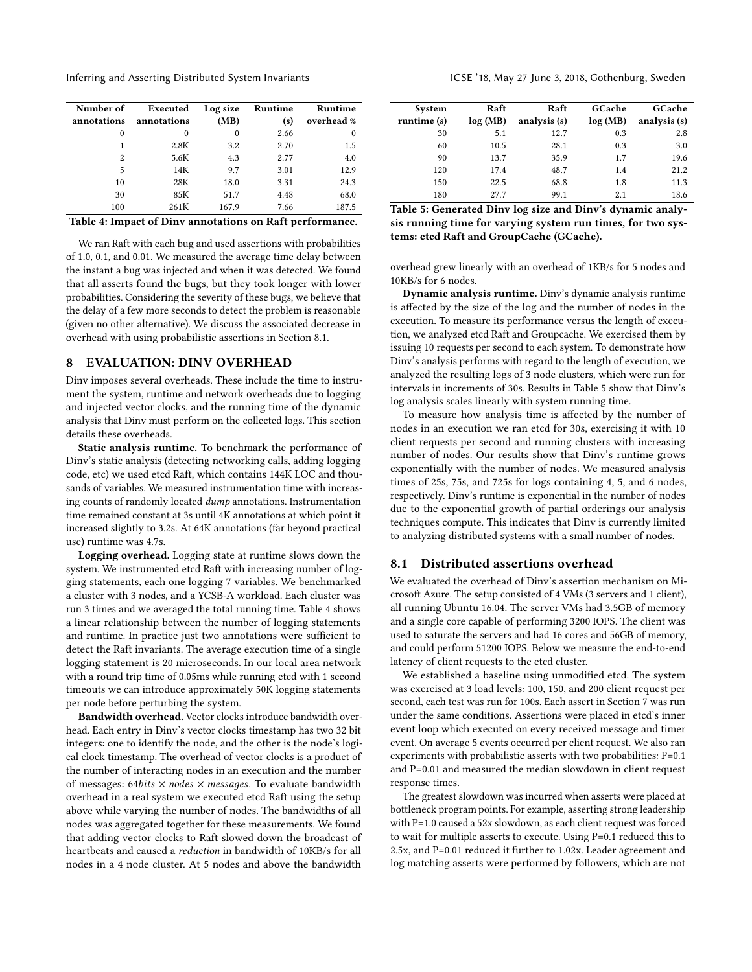<span id="page-8-1"></span>

| Number of<br>annotations | Executed<br>annotations | Log size<br>(MB) | Runtime<br>(s) | Runtime<br>overhead % |
|--------------------------|-------------------------|------------------|----------------|-----------------------|
| 0                        | $\Omega$                | 0                | 2.66           | $\theta$              |
|                          | 2.8K                    | 3.2              | 2.70           | 1.5                   |
| 2                        | 5.6K                    | 4.3              | 2.77           | 4.0                   |
| 5                        | 14K                     | 9.7              | 3.01           | 12.9                  |
| 10                       | 28K                     | 18.0             | 3.31           | 24.3                  |
| 30                       | 85K                     | 51.7             | 4.48           | 68.0                  |
| 100                      | 261K                    | 167.9            | 7.66           | 187.5                 |

Table 4: Impact of Dinv annotations on Raft performance.

We ran Raft with each bug and used assertions with probabilities of 1.0, 0.1, and 0.01. We measured the average time delay between the instant a bug was injected and when it was detected. We found that all asserts found the bugs, but they took longer with lower probabilities. Considering the severity of these bugs, we believe that the delay of a few more seconds to detect the problem is reasonable (given no other alternative). We discuss the associated decrease in overhead with using probabilistic assertions in Section [8.1.](#page-8-0)

# 8 EVALUATION: DINV OVERHEAD

Dinv imposes several overheads. These include the time to instrument the system, runtime and network overheads due to logging and injected vector clocks, and the running time of the dynamic analysis that Dinv must perform on the collected logs. This section details these overheads.

Static analysis runtime. To benchmark the performance of Dinv's static analysis (detecting networking calls, adding logging code, etc) we used etcd Raft, which contains 144K LOC and thousands of variables. We measured instrumentation time with increasing counts of randomly located dump annotations. Instrumentation time remained constant at 3s until 4K annotations at which point it increased slightly to 3.2s. At 64K annotations (far beyond practical use) runtime was 4.7s.

Logging overhead. Logging state at runtime slows down the system. We instrumented etcd Raft with increasing number of logging statements, each one logging 7 variables. We benchmarked a cluster with 3 nodes, and a YCSB-A workload. Each cluster was run 3 times and we averaged the total running time. Table [4](#page-8-1) shows a linear relationship between the number of logging statements and runtime. In practice just two annotations were sufficient to detect the Raft invariants. The average execution time of a single logging statement is 20 microseconds. In our local area network with a round trip time of 0.05ms while running etcd with 1 second timeouts we can introduce approximately 50K logging statements per node before perturbing the system.

Bandwidth overhead. Vector clocks introduce bandwidth overhead. Each entry in Dinv's vector clocks timestamp has two 32 bit integers: one to identify the node, and the other is the node's logical clock timestamp. The overhead of vector clocks is a product of the number of interacting nodes in an execution and the number of messages: 64bits  $\times$  nodes  $\times$  messages. To evaluate bandwidth overhead in a real system we executed etcd Raft using the setup above while varying the number of nodes. The bandwidths of all nodes was aggregated together for these measurements. We found that adding vector clocks to Raft slowed down the broadcast of heartbeats and caused a reduction in bandwidth of 10KB/s for all nodes in a 4 node cluster. At 5 nodes and above the bandwidth

<span id="page-8-2"></span>

| System<br>runtime (s) | Raft<br>log(MB) | Raft<br>analysis (s) | GCache<br>log(MB) | GCache<br>analysis (s) |
|-----------------------|-----------------|----------------------|-------------------|------------------------|
| 30                    | 5.1             | 12.7                 | 0.3               | 2.8                    |
| 60                    | 10.5            | 28.1                 | 0.3               | 3.0                    |
| 90                    | 13.7            | 35.9                 | 1.7               | 19.6                   |
| 120                   | 17.4            | 48.7                 | 1.4               | 21.2                   |
| 150                   | 22.5            | 68.8                 | 1.8               | 11.3                   |
| 180                   | 27.7            | 99.1                 | 2.1               | 18.6                   |

Table 5: Generated Dinv log size and Dinv's dynamic analysis running time for varying system run times, for two systems: etcd Raft and GroupCache (GCache).

overhead grew linearly with an overhead of 1KB/s for 5 nodes and 10KB/s for 6 nodes.

Dynamic analysis runtime. Dinv's dynamic analysis runtime is affected by the size of the log and the number of nodes in the execution. To measure its performance versus the length of execution, we analyzed etcd Raft and Groupcache. We exercised them by issuing 10 requests per second to each system. To demonstrate how Dinv's analysis performs with regard to the length of execution, we analyzed the resulting logs of 3 node clusters, which were run for intervals in increments of 30s. Results in Table [5](#page-8-2) show that Dinv's log analysis scales linearly with system running time.

To measure how analysis time is affected by the number of nodes in an execution we ran etcd for 30s, exercising it with 10 client requests per second and running clusters with increasing number of nodes. Our results show that Dinv's runtime grows exponentially with the number of nodes. We measured analysis times of 25s, 75s, and 725s for logs containing 4, 5, and 6 nodes, respectively. Dinv's runtime is exponential in the number of nodes due to the exponential growth of partial orderings our analysis techniques compute. This indicates that Dinv is currently limited to analyzing distributed systems with a small number of nodes.

### <span id="page-8-0"></span>8.1 Distributed assertions overhead

We evaluated the overhead of Dinv's assertion mechanism on Microsoft Azure. The setup consisted of 4 VMs (3 servers and 1 client), all running Ubuntu 16.04. The server VMs had 3.5GB of memory and a single core capable of performing 3200 IOPS. The client was used to saturate the servers and had 16 cores and 56GB of memory, and could perform 51200 IOPS. Below we measure the end-to-end latency of client requests to the etcd cluster.

We established a baseline using unmodified etcd. The system was exercised at 3 load levels: 100, 150, and 200 client request per second, each test was run for 100s. Each assert in Section [7](#page-7-0) was run under the same conditions. Assertions were placed in etcd's inner event loop which executed on every received message and timer event. On average 5 events occurred per client request. We also ran experiments with probabilistic asserts with two probabilities: P=0.1 and P=0.01 and measured the median slowdown in client request response times.

The greatest slowdown was incurred when asserts were placed at bottleneck program points. For example, asserting strong leadership with P=1.0 caused a 52x slowdown, as each client request was forced to wait for multiple asserts to execute. Using P=0.1 reduced this to 2.5x, and P=0.01 reduced it further to 1.02x. Leader agreement and log matching asserts were performed by followers, which are not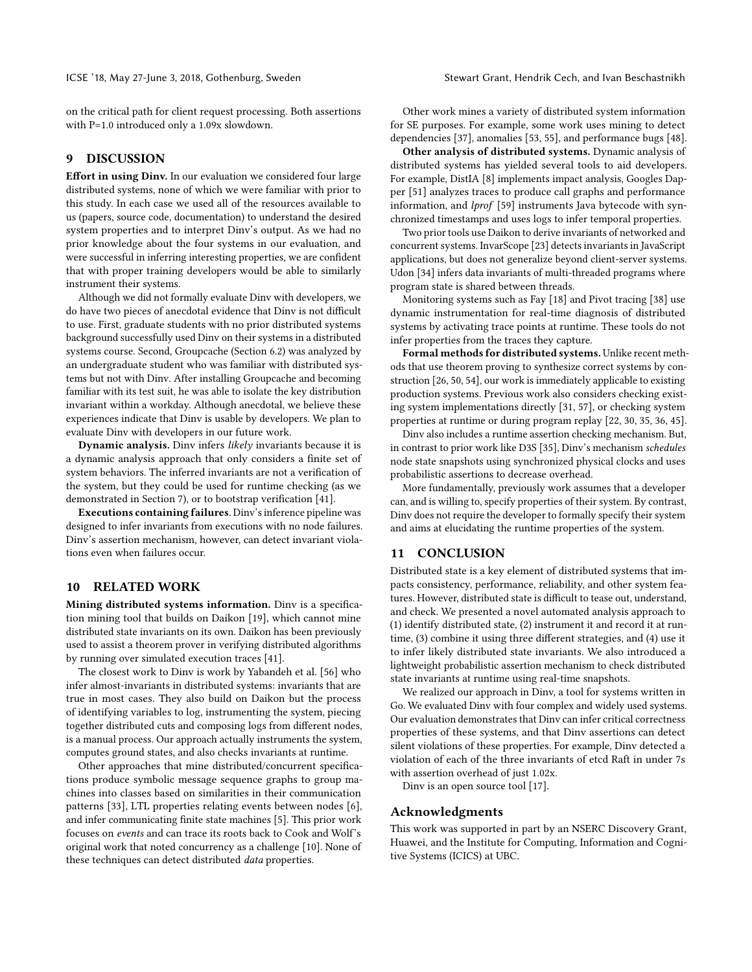on the critical path for client request processing. Both assertions with P=1.0 introduced only a 1.09x slowdown.

### 9 DISCUSSION

Effort in using Dinv. In our evaluation we considered four large distributed systems, none of which we were familiar with prior to this study. In each case we used all of the resources available to us (papers, source code, documentation) to understand the desired system properties and to interpret Dinv's output. As we had no prior knowledge about the four systems in our evaluation, and were successful in inferring interesting properties, we are confident that with proper training developers would be able to similarly instrument their systems.

Although we did not formally evaluate Dinv with developers, we do have two pieces of anecdotal evidence that Dinv is not difficult to use. First, graduate students with no prior distributed systems background successfully used Dinv on their systems in a distributed systems course. Second, Groupcache (Section [6.2\)](#page-6-2) was analyzed by an undergraduate student who was familiar with distributed systems but not with Dinv. After installing Groupcache and becoming familiar with its test suit, he was able to isolate the key distribution invariant within a workday. Although anecdotal, we believe these experiences indicate that Dinv is usable by developers. We plan to evaluate Dinv with developers in our future work.

Dynamic analysis. Dinv infers likely invariants because it is a dynamic analysis approach that only considers a finite set of system behaviors. The inferred invariants are not a verification of the system, but they could be used for runtime checking (as we demonstrated in Section [7\)](#page-7-0), or to bootstrap verification [\[41\]](#page-10-35).

Executions containing failures. Dinv's inference pipeline was designed to infer invariants from executions with no node failures. Dinv's assertion mechanism, however, can detect invariant violations even when failures occur.

# 10 RELATED WORK

Mining distributed systems information. Dinv is a specification mining tool that builds on Daikon [\[19\]](#page-10-8), which cannot mine distributed state invariants on its own. Daikon has been previously used to assist a theorem prover in verifying distributed algorithms by running over simulated execution traces [\[41\]](#page-10-35).

The closest work to Dinv is work by Yabandeh et al. [\[56\]](#page-10-5) who infer almost-invariants in distributed systems: invariants that are true in most cases. They also build on Daikon but the process of identifying variables to log, instrumenting the system, piecing together distributed cuts and composing logs from different nodes, is a manual process. Our approach actually instruments the system, computes ground states, and also checks invariants at runtime.

Other approaches that mine distributed/concurrent specifications produce symbolic message sequence graphs to group machines into classes based on similarities in their communication patterns [\[33\]](#page-10-36), LTL properties relating events between nodes [\[6\]](#page-10-37), and infer communicating finite state machines [\[5\]](#page-10-38). This prior work focuses on events and can trace its roots back to Cook and Wolf's original work that noted concurrency as a challenge [\[10\]](#page-10-39). None of these techniques can detect distributed data properties.

Other work mines a variety of distributed system information for SE purposes. For example, some work uses mining to detect dependencies [\[37\]](#page-10-40), anomalies [\[53,](#page-10-41) [55\]](#page-10-42), and performance bugs [\[48\]](#page-10-43).

Other analysis of distributed systems. Dynamic analysis of distributed systems has yielded several tools to aid developers. For example, DistIA [\[8\]](#page-10-44) implements impact analysis, Googles Dapper [\[51\]](#page-10-45) analyzes traces to produce call graphs and performance information, and lprof [\[59\]](#page-10-46) instruments Java bytecode with synchronized timestamps and uses logs to infer temporal properties.

Two prior tools use Daikon to derive invariants of networked and concurrent systems. InvarScope [\[23\]](#page-10-47) detects invariants in JavaScript applications, but does not generalize beyond client-server systems. Udon [\[34\]](#page-10-48) infers data invariants of multi-threaded programs where program state is shared between threads.

Monitoring systems such as Fay [\[18\]](#page-10-49) and Pivot tracing [\[38\]](#page-10-50) use dynamic instrumentation for real-time diagnosis of distributed systems by activating trace points at runtime. These tools do not infer properties from the traces they capture.

Formal methods for distributed systems. Unlike recent methods that use theorem proving to synthesize correct systems by construction [\[26,](#page-10-51) [50,](#page-10-52) [54\]](#page-10-53), our work is immediately applicable to existing production systems. Previous work also considers checking existing system implementations directly [\[31,](#page-10-54) [57\]](#page-10-6), or checking system properties at runtime or during program replay [\[22,](#page-10-55) [30,](#page-10-56) [35,](#page-10-7) [36,](#page-10-57) [45\]](#page-10-58).

Dinv also includes a runtime assertion checking mechanism. But, in contrast to prior work like D3S [\[35\]](#page-10-7), Dinv's mechanism schedules node state snapshots using synchronized physical clocks and uses probabilistic assertions to decrease overhead.

More fundamentally, previously work assumes that a developer can, and is willing to, specify properties of their system. By contrast, Dinv does not require the developer to formally specify their system and aims at elucidating the runtime properties of the system.

# 11 CONCLUSION

Distributed state is a key element of distributed systems that impacts consistency, performance, reliability, and other system features. However, distributed state is difficult to tease out, understand, and check. We presented a novel automated analysis approach to (1) identify distributed state, (2) instrument it and record it at runtime, (3) combine it using three different strategies, and (4) use it to infer likely distributed state invariants. We also introduced a lightweight probabilistic assertion mechanism to check distributed state invariants at runtime using real-time snapshots.

We realized our approach in Dinv, a tool for systems written in Go. We evaluated Dinv with four complex and widely used systems. Our evaluation demonstrates that Dinv can infer critical correctness properties of these systems, and that Dinv assertions can detect silent violations of these properties. For example, Dinv detected a violation of each of the three invariants of etcd Raft in under 7s with assertion overhead of just 1.02x.

Dinv is an open source tool [\[17\]](#page-10-14).

#### Acknowledgments

This work was supported in part by an NSERC Discovery Grant, Huawei, and the Institute for Computing, Information and Cognitive Systems (ICICS) at UBC.